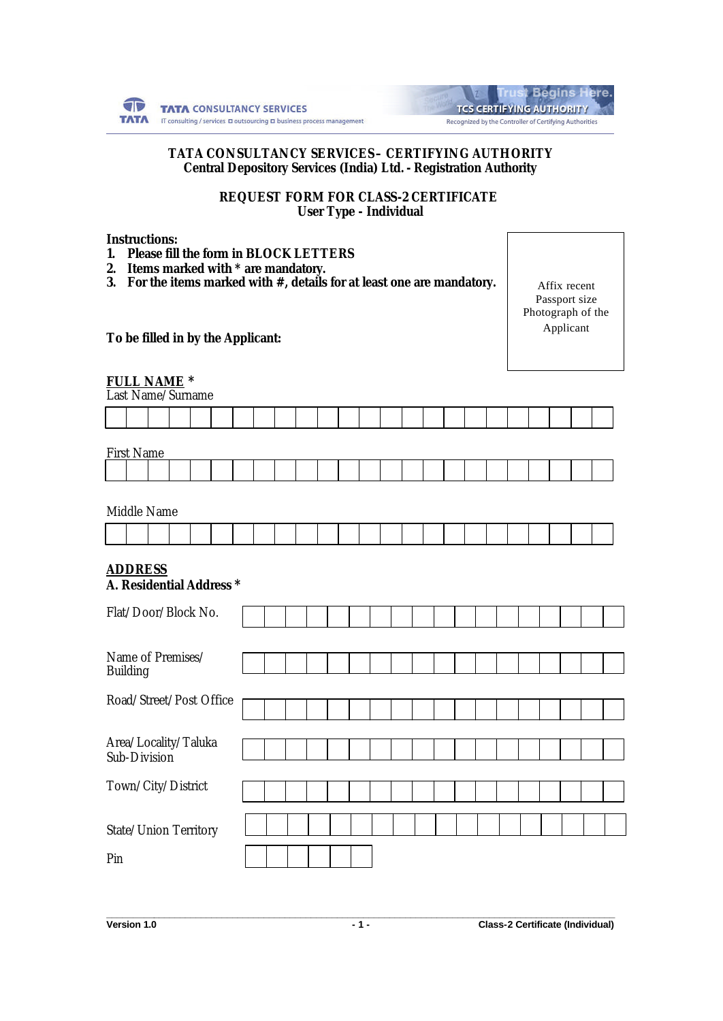

|                                                        | <b>Trust Begins Here.</b>       |  |  |
|--------------------------------------------------------|---------------------------------|--|--|
|                                                        | <b>TCS CERTIFYING AUTHORITY</b> |  |  |
| Recognized by the Controller of Certifying Authorities |                                 |  |  |

### **TATA CONSULTANCY SERVICES – CERTIFYING AUTHORITY Central Depository Services (India) Ltd. - Registration Authority**

**REQUEST FORM FOR CLASS-2 CERTIFICATE User Type - Individual**

### **Instructions:**

- *1. Please fill the form in BLOCK LETTERS*
- *2. Items marked with \* are mandatory.*
- *3. For the items marked with #, details for at least one are mandatory.*

Affix recent Passport size Photograph of the Applicant

**To be filled in by the Applicant:**

# **FULL NAME \***

Last Name/Surname

| <b>First Name</b> |  |  |  |  |  |  |  |  |  |  |  |
|-------------------|--|--|--|--|--|--|--|--|--|--|--|
|                   |  |  |  |  |  |  |  |  |  |  |  |
|                   |  |  |  |  |  |  |  |  |  |  |  |

Middle Name

#### **ADDRESS** *A. Residential Address* **\***

| Flat/Door/Block No.                  |  |  |  |  |  |  |  |  |  |
|--------------------------------------|--|--|--|--|--|--|--|--|--|
|                                      |  |  |  |  |  |  |  |  |  |
| Name of Premises/<br><b>Building</b> |  |  |  |  |  |  |  |  |  |
|                                      |  |  |  |  |  |  |  |  |  |
| Road/Street/Post Office              |  |  |  |  |  |  |  |  |  |
|                                      |  |  |  |  |  |  |  |  |  |
| Area/Locality/Taluka<br>Sub-Division |  |  |  |  |  |  |  |  |  |
|                                      |  |  |  |  |  |  |  |  |  |
| Town/City/District                   |  |  |  |  |  |  |  |  |  |
|                                      |  |  |  |  |  |  |  |  |  |
| State/Union Territory                |  |  |  |  |  |  |  |  |  |
|                                      |  |  |  |  |  |  |  |  |  |
| Pin                                  |  |  |  |  |  |  |  |  |  |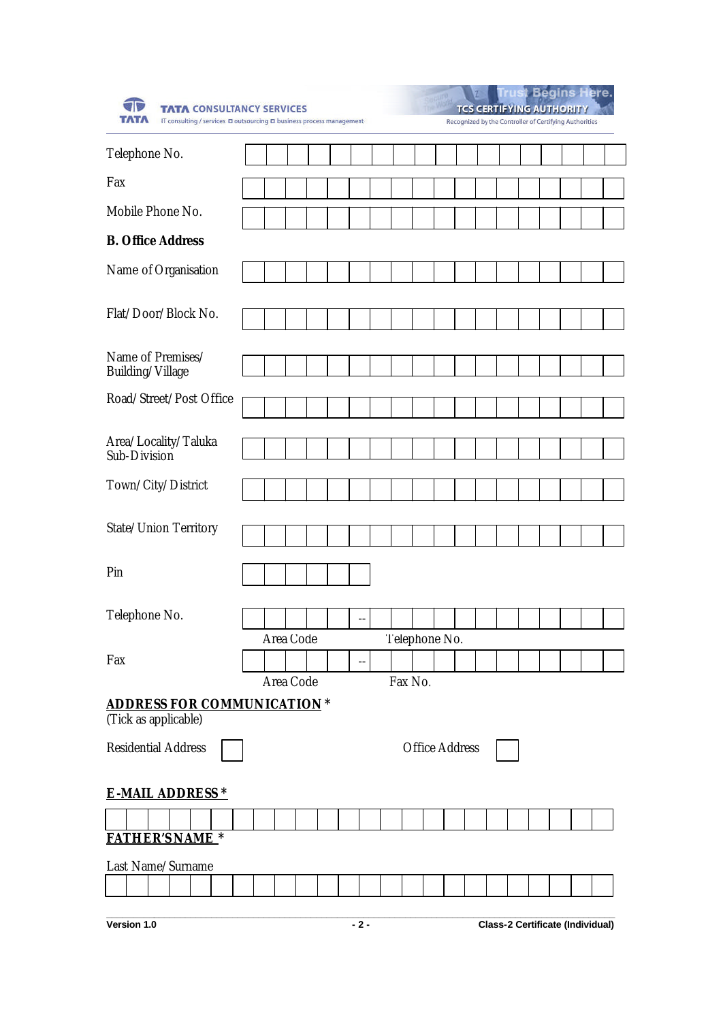| <b>TATA CONSULTANCY SERVICES</b><br>IT consulting / services D outsourcing D business process management |           |  |    |               |                       |  | <b>TCS CERTIFYING AUTHORITY</b><br>Recognized by the Controller of Certifying Authorities |  | i Begins Here. |  |
|----------------------------------------------------------------------------------------------------------|-----------|--|----|---------------|-----------------------|--|-------------------------------------------------------------------------------------------|--|----------------|--|
| Telephone No.                                                                                            |           |  |    |               |                       |  |                                                                                           |  |                |  |
| Fax                                                                                                      |           |  |    |               |                       |  |                                                                                           |  |                |  |
| Mobile Phone No.                                                                                         |           |  |    |               |                       |  |                                                                                           |  |                |  |
| <b>B.</b> Office Address                                                                                 |           |  |    |               |                       |  |                                                                                           |  |                |  |
| Name of Organisation                                                                                     |           |  |    |               |                       |  |                                                                                           |  |                |  |
| Flat/Door/Block No.                                                                                      |           |  |    |               |                       |  |                                                                                           |  |                |  |
| Name of Premises/<br>Building/Village                                                                    |           |  |    |               |                       |  |                                                                                           |  |                |  |
| Road/Street/Post Office                                                                                  |           |  |    |               |                       |  |                                                                                           |  |                |  |
| Area/Locality/Taluka<br>Sub-Division                                                                     |           |  |    |               |                       |  |                                                                                           |  |                |  |
| Town/City/District                                                                                       |           |  |    |               |                       |  |                                                                                           |  |                |  |
| State/Union Territory                                                                                    |           |  |    |               |                       |  |                                                                                           |  |                |  |
| Pin                                                                                                      |           |  |    |               |                       |  |                                                                                           |  |                |  |
| Telephone No.                                                                                            |           |  | -- |               |                       |  |                                                                                           |  |                |  |
| Fax                                                                                                      | Area Code |  | -- | Telephone No. |                       |  |                                                                                           |  |                |  |
|                                                                                                          | Area Code |  |    | Fax No.       |                       |  |                                                                                           |  |                |  |
| <b>ADDRESS FOR COMMUNICATION*</b><br>(Tick as applicable)                                                |           |  |    |               |                       |  |                                                                                           |  |                |  |
| <b>Residential Address</b>                                                                               |           |  |    |               | <b>Office Address</b> |  |                                                                                           |  |                |  |
| <b>E-MAIL ADDRESS *</b>                                                                                  |           |  |    |               |                       |  |                                                                                           |  |                |  |
| <b>FATHER'S NAME*</b>                                                                                    |           |  |    |               |                       |  |                                                                                           |  |                |  |
| Last Name/Surname                                                                                        |           |  |    |               |                       |  |                                                                                           |  |                |  |
|                                                                                                          |           |  |    |               |                       |  |                                                                                           |  |                |  |

**Version 1.0 - 2 - Class-2 Certificate (Individual)**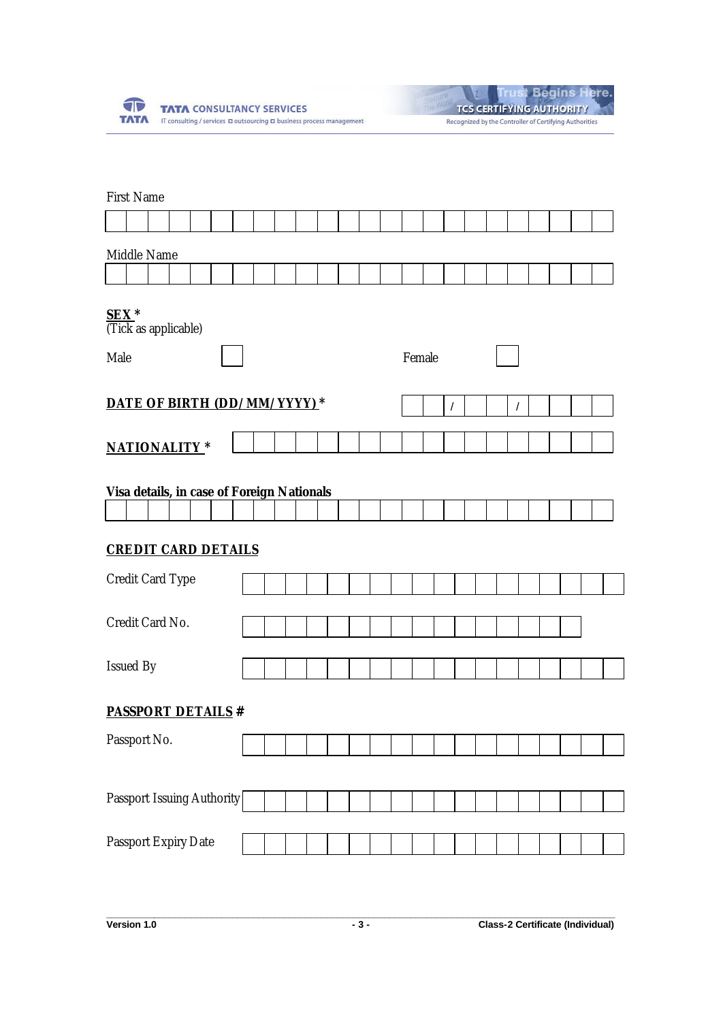

| <b>Trust Begins Here.</b>                              |
|--------------------------------------------------------|
| <b>TCS CERTIFYING AUTHORITY</b>                        |
| Recognized by the Controller of Certifying Authorities |

|                                                                          | <b>First Name</b> |  |  |  |  |  |  |  |  |  |  |  |  |        |          |  |            |  |  |
|--------------------------------------------------------------------------|-------------------|--|--|--|--|--|--|--|--|--|--|--|--|--------|----------|--|------------|--|--|
|                                                                          |                   |  |  |  |  |  |  |  |  |  |  |  |  |        |          |  |            |  |  |
|                                                                          | Middle Name       |  |  |  |  |  |  |  |  |  |  |  |  |        |          |  |            |  |  |
| SEX <sup>*</sup><br>(Tick as applicable)<br>Male                         |                   |  |  |  |  |  |  |  |  |  |  |  |  | Female |          |  |            |  |  |
| DATE OF BIRTH (DD/MM/YYYY)*                                              |                   |  |  |  |  |  |  |  |  |  |  |  |  |        | $\prime$ |  | $\sqrt{2}$ |  |  |
| <b>NATIONALITY*</b>                                                      |                   |  |  |  |  |  |  |  |  |  |  |  |  |        |          |  |            |  |  |
| Visa details, in case of Foreign Nationals<br><b>CREDIT CARD DETAILS</b> |                   |  |  |  |  |  |  |  |  |  |  |  |  |        |          |  |            |  |  |
| Credit Card Type                                                         |                   |  |  |  |  |  |  |  |  |  |  |  |  |        |          |  |            |  |  |
| Credit Card No.                                                          |                   |  |  |  |  |  |  |  |  |  |  |  |  |        |          |  |            |  |  |
| Issued By                                                                |                   |  |  |  |  |  |  |  |  |  |  |  |  |        |          |  |            |  |  |
| <b>PASSPORT DETAILS #</b>                                                |                   |  |  |  |  |  |  |  |  |  |  |  |  |        |          |  |            |  |  |
| Passport No.                                                             |                   |  |  |  |  |  |  |  |  |  |  |  |  |        |          |  |            |  |  |
| Passport Issuing Authority                                               |                   |  |  |  |  |  |  |  |  |  |  |  |  |        |          |  |            |  |  |
|                                                                          |                   |  |  |  |  |  |  |  |  |  |  |  |  |        |          |  |            |  |  |
| Passport Expiry Date                                                     |                   |  |  |  |  |  |  |  |  |  |  |  |  |        |          |  |            |  |  |